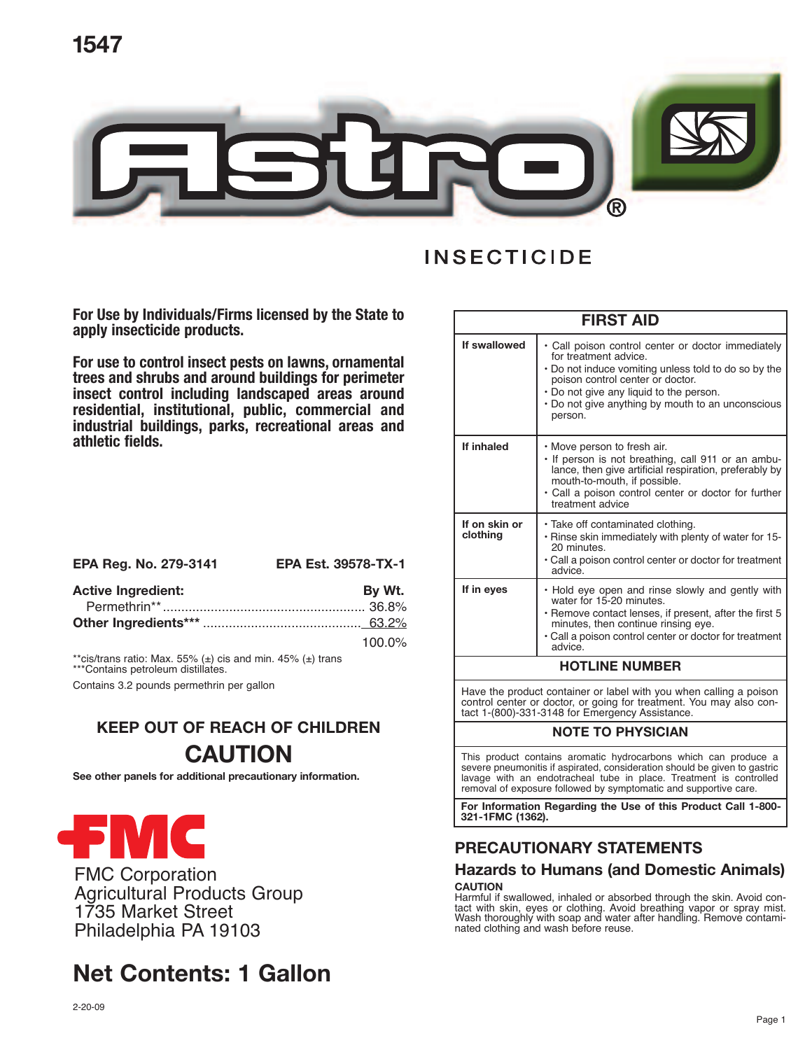



**For Use by Individuals/Firms licensed by the State to apply insecticide products.**

**For use to control insect pests on lawns, ornamental trees and shrubs and around buildings for perimeter insect control including landscaped areas around residential, institutional, public, commercial and industrial buildings, parks, recreational areas and athletic fields.**

| EPA Reg. No. 279-3141     | <b>EPA Est. 39578-TX-1</b> |
|---------------------------|----------------------------|
| <b>Active Ingredient:</b> | By Wt.                     |
|                           |                            |
|                           |                            |
|                           | $100.0\%$                  |

\*\*cis/trans ratio: Max. 55% (±) cis and min. 45% (±) trans \*\*\*Contains petroleum distillates.

Contains 3.2 pounds permethrin per gallon

## **KEEP OUT OF REACH OF CHILDREN CAUTION**

**See other panels for additional precautionary information.**



FMC Corporation Agricultural Products Group 1735 Market Street Philadelphia PA 19103

## **Net Contents: 1 Gallon**

| <b>FIRST AID</b>          |                                                                                                                                                                                                                                                                                    |  |
|---------------------------|------------------------------------------------------------------------------------------------------------------------------------------------------------------------------------------------------------------------------------------------------------------------------------|--|
| If swallowed              | • Call poison control center or doctor immediately<br>for treatment advice.<br>• Do not induce vomiting unless told to do so by the<br>poison control center or doctor.<br>• Do not give any liquid to the person.<br>• Do not give anything by mouth to an unconscious<br>person. |  |
| If inhaled                | • Move person to fresh air.<br>· If person is not breathing, call 911 or an ambu-<br>lance, then give artificial respiration, preferably by<br>mouth-to-mouth, if possible.<br>• Call a poison control center or doctor for further<br>treatment advice                            |  |
| If on skin or<br>clothing | • Take off contaminated clothing.<br>. Rinse skin immediately with plenty of water for 15-<br>20 minutes.<br>• Call a poison control center or doctor for treatment<br>advice.                                                                                                     |  |
| If in eyes                | • Hold eye open and rinse slowly and gently with<br>water for 15-20 minutes.<br>• Remove contact lenses, if present, after the first 5<br>minutes, then continue rinsing eye.<br>• Call a poison control center or doctor for treatment<br>advice                                  |  |
| <b>HOTLINE NUMBER</b>     |                                                                                                                                                                                                                                                                                    |  |
|                           |                                                                                                                                                                                                                                                                                    |  |

Have the product container or label with you when calling a poison control center or doctor, or going for treatment. You may also contact 1-(800)-331-3148 for Emergency Assistance.

#### **NOTE TO PHYSICIAN**

This product contains aromatic hydrocarbons which can produce a severe pneumonitis if aspirated, consideration should be given to gastric lavage with an endotracheal tube in place. Treatment is controlled removal of exposure followed by symptomatic and supportive care.

**For Information Regarding the Use of this Product Call 1-800- 321-1FMC (1362).**

## **PRECAUTIONARY STATEMENTS**

## **Hazards to Humans (and Domestic Animals)**

CAUTION<br>Harmful if swallowed, inhaled or absorbed through the skin. Avoid contact with skin, eyes or clothing. Avoid breathing vapor or spray mist.<br>Wash thoroughly with soap and water after handling. Remove contaminated clothing and wash before reuse.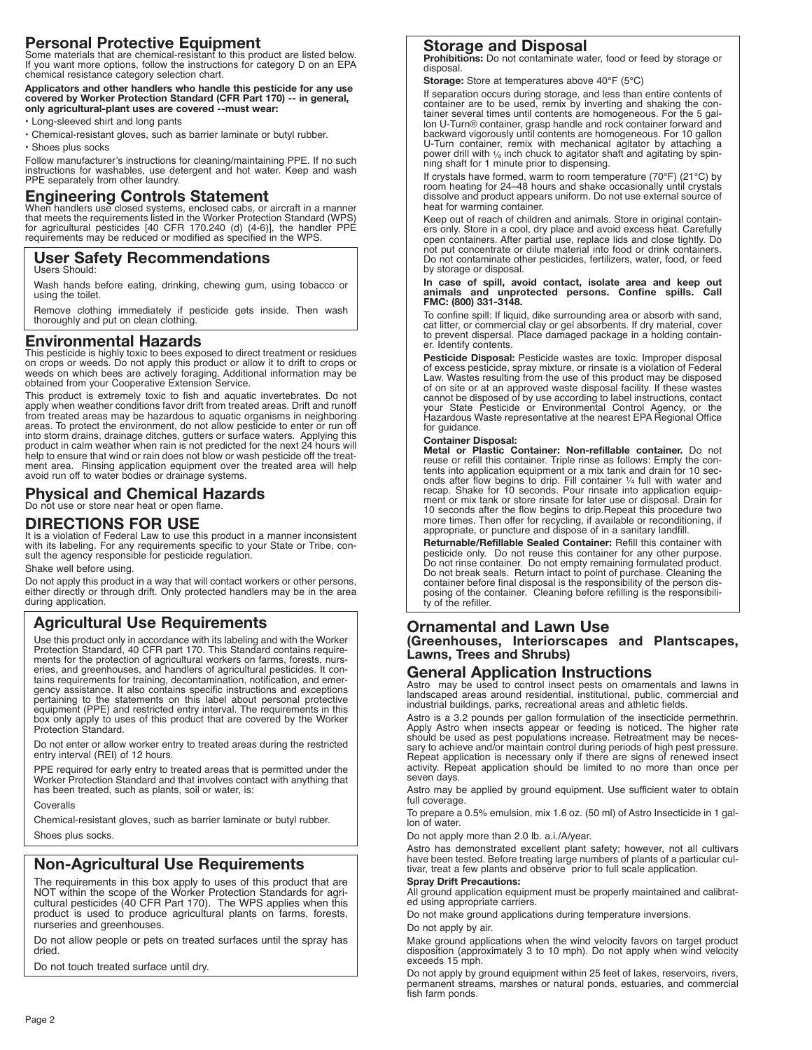## **Personal Protective Equipment**

Some materials that are chemical-resistant to this product are listed below. If you want more options, follow the instructions for category D on an EPA chemical resistance category selection chart.

Applicators and other handlers who handle this pesticide for any use<br>covered by Worker Protection Standard (CFR Part 170) -- in general,<br>only agricultural-plant uses are covered --must wear:

• Long-sleeved shirt and long pants

- Chemical-resistant gloves, such as barrier laminate or butyl rubber.
- Shoes plus socks

Follow manufacturer's instructions for cleaning/maintaining PPE. If no such instructions for washables, use detergent and hot water. Keep and wash PPE separately from other laundry.

#### **Engineering Controls Statement**

When handlers use closed systems, enclosed cabs, or aircraft in a manner<br>that meets the requirements listed in the Worker Protection Standard (WPS)<br>for agricultural pesticides [40 CFR 170.240 (d) (4-6)], the handler PPE<br>re

## **User Safety Recommendations**

Users Should:

Wash hands before eating, drinking, chewing gum, using tobacco or using the toilet.

Remove clothing immediately if pesticide gets inside. Then wash thoroughly and put on clean clothing.

#### **Environmental Hazards**

This pesticide is highly toxic to bees exposed to direct treatment or residues on crops or weeds. Do not apply this product or allow it to drift to crops or weeds on which bees are actively foraging. Additional information may be obtained from your Cooperative Extension Service.

This product is extremely toxic to fish and aquatic invertebrates. Do not apply when weather conditions favor drift from treated areas. Drift and runoff from treated areas may be hazardous to aquatic organisms in neighbori areas. To protect the environment, do not allow pesticide to enter or run off into storm drains, drainage ditches, gutters or surface waters. Applying this product in calm weather when rain is not predicted for the next 24 hours will help to ensure that wind or rain does not blow or wash pesticide o ment area. Rinsing application equipment over the treated area will help avoid run off to water bodies or drainage systems.

#### **Physical and Chemical Hazards** Do not use or store near heat or open flame.

#### **DIRECTIONS FOR USE**

It is a violation of Federal Law to use this product in a manner inconsistent with its labeling. For any requirements specific to your State or Tribe, consult the agency responsible for pesticide regulation.

Shake well before using.

Do not apply this product in a way that will contact workers or other persons, either directly or through drift. Only protected handlers may be in the area during application.

### **Agricultural Use Requirements**

Use this product only in accordance with its labeling and with the Worker Protection Standard, 40 CFR part 170. This Standard contains requirements for the protection of agricultural workers on farms, forests, nurs-<br>eries, and greenhouses, and handlers of agricultural pesticides. It con-<br>tains requirements for training, decontamination, notification, and emer-<br>g pertaining to the statements on this label about personal protective equipment (PPE) and restricted entry interval. The requirements in this box only apply to uses of this product that are covered by the Worker Protection Standard.

Do not enter or allow worker entry to treated areas during the restricted entry interval (REI) of <sup>12</sup> hours.

PPE required for early entry to treated areas that is permitted under the Worker Protection Standard and that involves contact with anything that has been treated, such as plants, soil or water, is:

Coveralls

Chemical-resistant gloves, such as barrier laminate or butyl rubber. Shoes plus socks.

### **Non-Agricultural Use Requirements**

The requirements in this box apply to uses of this product that are NOT within the scope of the Worker Protection Standards for agricultural pesticides (40 CFR Part 170). The WPS applies when this product is used to produce agricultural plants on farms, forests, nurseries and greenhouses.

Do not allow people or pets on treated surfaces until the spray has dried.

Do not touch treated surface until dry.

## **Storage and Disposal**

**Prohibitions:** Do not contaminate water, food or feed by storage or disposal.

**Storage:** Store at temperatures above 40°F (5°C)

If separation occurs during storage, and less than entire contents of container are to be used, remix by inverting and shaking the container several times until contents are homogeneous. For the 5 gal-lon U-Turn® container, grasp handle and rock container forward and backward vigorously until contents are homogeneous. For 10 gallon U-Turn container, remix with mechanical agitator by attaching a power drill with  $\frac{1}{4}$  inch chuck to agitator shaft and agitating by spinning shaft for 1 minute prior to dispensing.

If crystals have formed, warm to room temperature (70°F) (21°C) by room heating for 24–48 hours and shake occasionally until crystals dissolve and product appears uniform. Do not use external source of heat for warming container.

Keep out of reach of children and animals. Store in original containers only. Store in a cool, dry place and avoid excess heat. Carefully open containers. After partial use, replace lids and close tightly. Do<br>not put conce by storage or disposal.

# In case of spill, avoid contact, isolate area and keep out<br>animals and unprotected persons. Confine spills. Call<br>FMC:(800) 331-3148.

To confine spill: If liquid, dike surrounding area or absorb with sand, cat litter, or commercial clay or gel absorbents. If dry material, cover to prevent dispersal. Place damaged package in <sup>a</sup> holding contain- er. Identify contents.

**Pesticide Disposal:** Pesticide wastes are toxic. Improper disposal of excess pesticide, spray mixture, or rinsate is a violation of Federal Law. Wastes resulting from the use of this product may be disposed of on site or at an approved waste disposal facility. If these wastes cannot be disposed of by use according to label instructions, contact your State Pesticide or Environmental Control Agency, or the Hazardous Waste representative at the nearest EPA Regional Office for guidance.

#### **Container Disposal:**

**Metal or Plastic Container: Non-refillable container.** Do not reuse or refill this container. Triple rinse as follows: Empty the contents into application equipment or a mix tank and drain for 10 sec-<br>onds after flow begins to drip. Fill container ¼ full with water and<br>recap. Shake for 10 seconds. Pour rinsate into application equip-<br>ment or mix tank o 10 seconds after the flow begins to drip.Repeat this procedure two more times. Then offer for recycling, if available or reconditioning, if appropriate, or puncture and dispose of in a sanitary landfill.

**Returnable/Refillable Sealed Container:** Refill this container with Do not break seals. Return intact to point of purchase. Cleaning the container before final disposal is the responsibility of the person disposing of the container. Cleaning before refilling is the responsibility of the re

#### **Ornamental and Lawn Use**

**(Greenhouses, Interiorscapes and Plantscapes, Lawns, Trees and Shrubs)**

#### **General Application Instructions**

Astro may be used to control insect pests on ornamentals and lawns in landscaped areas around residential, institutional, public, commercial and industrial buildings, parks, recreational areas and athletic fields.

Astro is a 3.2 pounds per gallon formulation of the insecticide permethrin.<br>Apply Astro when insects appear or feeding is noticed. The higher rate should be used as pest populations increase. Retreatment may be necessary to achieve and/or maintain control during periods of high pest pressure. Repeat application is necessary only if there are signs of renewed insectiv

Astro may be applied by ground equipment. Use sufficient water to obtain full coverage.

To prepare <sup>a</sup> 0.5% emulsion, mix 1.6 oz. (50 ml) of Astro Insecticide in <sup>1</sup> gal- lon of water.

Do not apply more than 2.0 lb. a.i./A/year.

Astro has demonstrated excellent plant safety; however, not all cultivars have been tested. Before treating large numbers of plants of a particular cul-tivar, treat a few plants and observe prior to full scale application.

#### **Spray Drift Precautions:**

All ground application equipment must be properly maintained and calibrated using appropriate carriers.

Do not make ground applications during temperature inversions.

Do not apply by air.

Make ground applications when the wind velocity favors on target product disposition (approximately 3 to 10 mph). Do not apply when wind velocity exceeds 15 mph.<br>Do not apply by ground equipment within 25 feet of lakes, reservoirs, rivers.

Do not apply by ground equipment within 25 feet of lakes, reservoirs, rivers,<br>permanent streams, marshes or natural ponds, estuaries, and commercial<br>fish farm ponds.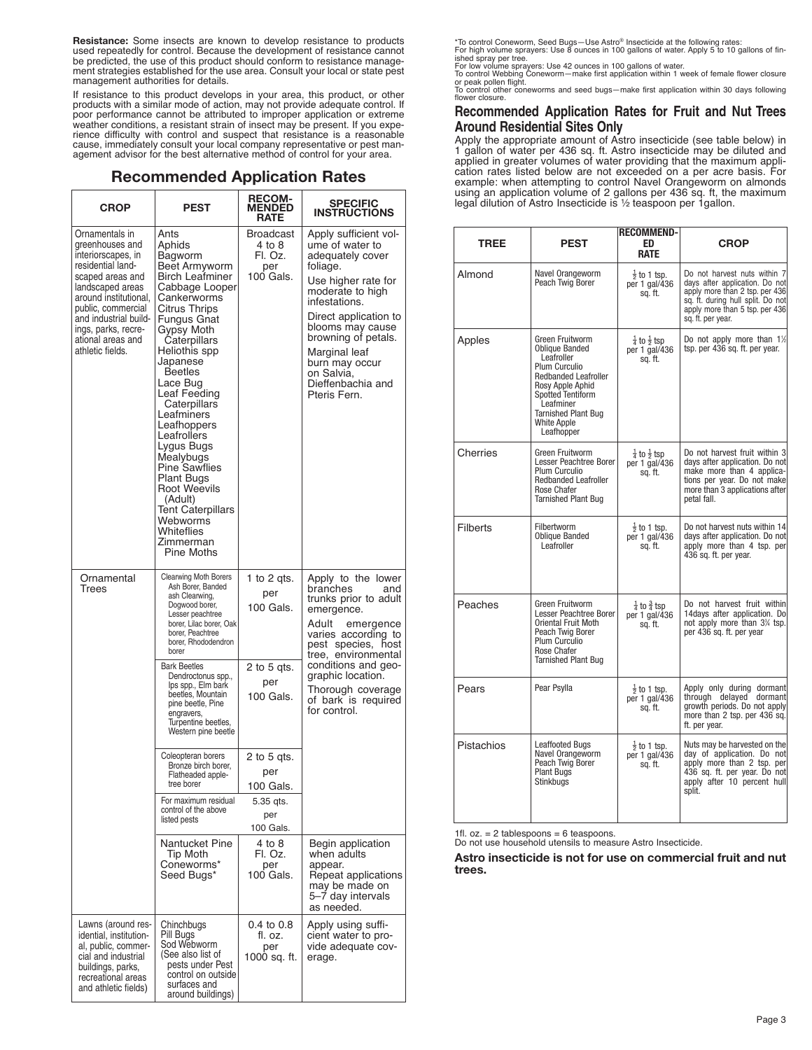**Resistance:** Some insects are known to develop resistance to products used repeatedly for control. Because the development of resistance cannot be predicted, the use of this product should conform to resistance manage-ment strategies established for the use area. Consult your local or state pest management authorities for details.

If resistance to this product develops in your area, this product, or other products with a similar mode of action, may not provide adequate control. If poor performance cannot be attributed to improper application or extreme weather conditions, a resistant strain of insect may be present. If you experience difficulty with control and suspect that resistance is a reasonable cause, immediately consult your local company representative or pest man-agement advisor for the best alternative method of control for your area.

#### **Recommended Application Rates**

| CROP                                                                                                                                                                                                                                                         | <b>PEST</b>                                                                                                                                                                                                                                                                                                                                                                                                                                                                                    | <b>RECOM-</b><br><b>MENDED</b><br>RATE             | <b>SPECIFIC</b><br><b>INSTRUCTIONS</b>                                                                                                                                                                                                                                                         |  |
|--------------------------------------------------------------------------------------------------------------------------------------------------------------------------------------------------------------------------------------------------------------|------------------------------------------------------------------------------------------------------------------------------------------------------------------------------------------------------------------------------------------------------------------------------------------------------------------------------------------------------------------------------------------------------------------------------------------------------------------------------------------------|----------------------------------------------------|------------------------------------------------------------------------------------------------------------------------------------------------------------------------------------------------------------------------------------------------------------------------------------------------|--|
| Ornamentals in<br>greenhouses and<br>interiorscapes, in<br>residential land-<br>scaped areas and<br>landscaped areas<br>around institutional,<br>public, commercial<br>and industrial build-<br>ings, parks, recre-<br>ational areas and<br>athletic fields. | Ants<br>Aphids<br>Bagworm<br>Beet Armyworm<br><b>Birch Leafminer</b><br>Cabbage Looper<br>Cankerworms<br>Citrus Thrips<br><b>Fungus Gnat</b><br>Gypsy Moth<br>Caterpillars<br>Heliothis spp<br>Japanese<br><b>Beetles</b><br>Lace Bug<br>Leaf Feeding<br>Caterpillars<br>Leafminers<br>Leafhoppers<br>Leafrollers<br>Lygus Bugs<br>Mealybugs<br><b>Pine Sawflies</b><br><b>Plant Bugs</b><br>Root Weevils<br>(Adult)<br>Tent Caterpillars<br>Webworms<br>Whiteflies<br>Zimmerman<br>Pine Moths | Broadcast<br>4 to 8<br>Fl. Oz.<br>per<br>100 Gals. | Apply sufficient vol-<br>ume of water to<br>adequately cover<br>foliage.<br>Use higher rate for<br>moderate to high<br>infestations.<br>Direct application to<br>blooms may cause<br>browning of petals.<br>Marginal leaf<br>burn may occur<br>on Salvia,<br>Dieffenbachia and<br>Pteris Fern. |  |
| Ornamental<br>Trees                                                                                                                                                                                                                                          | <b>Clearwing Moth Borers</b><br>Ash Borer, Banded<br>ash Clearwing,<br>Dogwood borer,<br>Lesser peachtree<br>borer, Lilac borer, Oak<br>borer, Peachtree<br>borer, Rhododendron<br>borer                                                                                                                                                                                                                                                                                                       | 1 to 2 gts.<br>per<br>100 Gals.                    | Apply to the lower<br>branches<br>and<br>trunks prior to adult<br>emergence.<br>Adult<br>emergence<br>varies according to<br>pest species, host<br>tree, environmental                                                                                                                         |  |
|                                                                                                                                                                                                                                                              | <b>Bark Beetles</b><br>Dendroctonus spp.,<br>Ips spp., Elm bark<br>beetles, Mountain<br>pine beetle, Pine<br>engravers,<br>Turpentine beetles,<br>Western pine beetle                                                                                                                                                                                                                                                                                                                          | 2 to 5 gts.<br>per<br>100 Gals.                    | conditions and geo-<br>graphic location.<br>Thorough coverage<br>of bark is required<br>for control.                                                                                                                                                                                           |  |
|                                                                                                                                                                                                                                                              | Coleopteran borers<br>Bronze birch borer,<br>Flatheaded apple-<br>tree borer                                                                                                                                                                                                                                                                                                                                                                                                                   | 2 to 5 qts.<br>per<br>$100$ Gals                   |                                                                                                                                                                                                                                                                                                |  |
|                                                                                                                                                                                                                                                              | For maximum residual<br>control of the above<br>listed pests                                                                                                                                                                                                                                                                                                                                                                                                                                   | 5.35 qts.<br>per<br>100 Gals.                      |                                                                                                                                                                                                                                                                                                |  |
|                                                                                                                                                                                                                                                              | Nantucket Pine<br><b>Tip Moth</b><br>Coneworms*<br>Seed Bugs*                                                                                                                                                                                                                                                                                                                                                                                                                                  | 4 to 8<br>Fl. Oz.<br>per<br>100 Gals.              | Begin application<br>when adults<br>appear.<br>Repeat applications<br>may be made on<br>5–7 day intervals<br>as needed.                                                                                                                                                                        |  |
| Lawns (around res-<br>idential, institution-<br>al, public, commer-<br>cial and industrial<br>buildings, parks,<br>recreational areas<br>and athletic fields)                                                                                                | Chinchbugs<br>Pill Bugs<br>Sod Webworm<br>(See also list of<br>pests under Pest<br>control on outside<br>surfaces and<br>around buildings)                                                                                                                                                                                                                                                                                                                                                     | 0.4 to 0.8<br>fl. oz.<br>per<br>1000 sq. ft.       | Apply using suffi-<br>cient water to pro-<br>vide adequate cov-<br>erage.                                                                                                                                                                                                                      |  |

\*To control Coneworm, Seed Bugs—Use Astro® Insecticide at the following rates: For high volume sprayers: Use 8 ounces in 100 gallons of water. Apply 5 to 10 gallons of fin-

ished spray per tree.<br>For low volume sprayers: Use 42 ounces in 100 gallons of water.<br>To control Webbing Coneworm—make first application within 1 week of female flower closure<br>or peak pollen flight.<br>To control other conewo

flower closure.

#### **Recommended Application Rates for Fruit and Nut Trees Around Residential Sites Only**

Apply the appropriate amount of Astro insecticide (see table below) in 1 gallon of water per 436 sq. ft. Astro insecticide may be diluted and applied in greater volumes of water providing that the maximum application rates listed below are not exceeded on a per acre basis. For example: when attempting to control Navel Orangeworm on almonds using an application volume of 2 gallons per 436 sq. ft, the maximum<br>legal dilution of Astro Insecticide is ½ teaspoon per 1gallon.

| <b>TREE</b>     | <b>PEST</b>                                                                                                                                                                                                                    | <b>RECOMMEND-</b><br>FD.<br><b>RATE</b>                                                                                                                                                                                                             | <b>CROP</b>                                                                                                                                                                  |  |
|-----------------|--------------------------------------------------------------------------------------------------------------------------------------------------------------------------------------------------------------------------------|-----------------------------------------------------------------------------------------------------------------------------------------------------------------------------------------------------------------------------------------------------|------------------------------------------------------------------------------------------------------------------------------------------------------------------------------|--|
| Almond          | Navel Orangeworm<br>Peach Twig Borer                                                                                                                                                                                           | Do not harvest nuts within 7<br>$\frac{1}{2}$ to 1 tsp.<br>days after application. Do not<br>per 1 gal/436<br>apply more than 2 tsp. per 436<br>sq. ft.<br>sq. ft. during hull split. Do not<br>apply more than 5 tsp. per 436<br>sq. ft. per year. |                                                                                                                                                                              |  |
| Apples          | Green Fruitworm<br><b>Oblique Banded</b><br>Leafroller<br>Plum Curculio<br><b>Redbanded Leafroller</b><br>Rosy Apple Aphid<br>Spotted Tentiform<br>Leafminer<br><b>Tarnished Plant Bug</b><br><b>White Apple</b><br>Leafhopper | $\frac{1}{4}$ to $\frac{1}{2}$ tsp<br>per 1 gal/436<br>sq. ft.                                                                                                                                                                                      | Do not apply more than $1\%$<br>tsp. per 436 sq. ft. per year.                                                                                                               |  |
| Cherries        | Green Fruitworm<br>Lesser Peachtree Borer<br>Plum Curculio<br><b>Redbanded Leafroller</b><br>Rose Chafer<br><b>Tarnished Plant Bug</b>                                                                                         | $\frac{1}{4}$ to $\frac{1}{2}$ tsp<br>per 1 gal/436<br>sq. ft.                                                                                                                                                                                      | Do not harvest fruit within 3<br>days after application. Do not<br>make more than 4 applica-<br>tions per year. Do not make<br>more than 3 applications after<br>petal fall. |  |
| <b>Filberts</b> | <b>Filbertworm</b><br><b>Oblique Banded</b><br>Leafroller                                                                                                                                                                      | $\frac{1}{2}$ to 1 tsp.<br>per 1 gal/436<br>sq. ft.                                                                                                                                                                                                 | Do not harvest nuts within 14<br>days after application. Do not<br>apply more than 4 tsp. per<br>436 sq. ft. per year.                                                       |  |
| Peaches         | Green Fruitworm<br>Lesser Peachtree Borer<br>Oriental Fruit Moth<br>Peach Twig Borer<br>Plum Curculio<br>Rose Chafer<br><b>Tarnished Plant Bug</b>                                                                             | $\frac{1}{4}$ to $\frac{3}{4}$ tsp<br>per 1 gal/436<br>sq. ft.                                                                                                                                                                                      | Do not harvest fruit within<br>14days after application. Do<br>not apply more than 3% tsp.<br>per 436 sq. ft. per year                                                       |  |
| Pears           | Pear Psylla                                                                                                                                                                                                                    | $\frac{1}{2}$ to 1 tsp.<br>per 1 gal/436<br>sq. ft.                                                                                                                                                                                                 | Apply only during dormant<br>through delayed dormant<br>growth periods. Do not apply<br>more than 2 tsp. per 436 sq.<br>ft. per year.                                        |  |
| Pistachios      | <b>Leaffooted Bugs</b><br>Navel Orangeworm<br>Peach Twig Borer<br><b>Plant Bugs</b><br>Stinkbugs                                                                                                                               | $\frac{1}{2}$ to 1 tsp.<br>per 1 gal/436<br>sq. ft.                                                                                                                                                                                                 | Nuts may be harvested on the<br>day of application. Do not<br>apply more than 2 tsp. per<br>436 sq. ft. per year. Do not<br>apply after 10 percent hull<br>split.            |  |

1fl. oz. <sup>=</sup> <sup>2</sup> tablespoons <sup>=</sup> <sup>6</sup> teaspoons. Do not use household utensils to measure Astro Insecticide.

**Astro insecticide is not for use on commercial fruit and nut trees.**